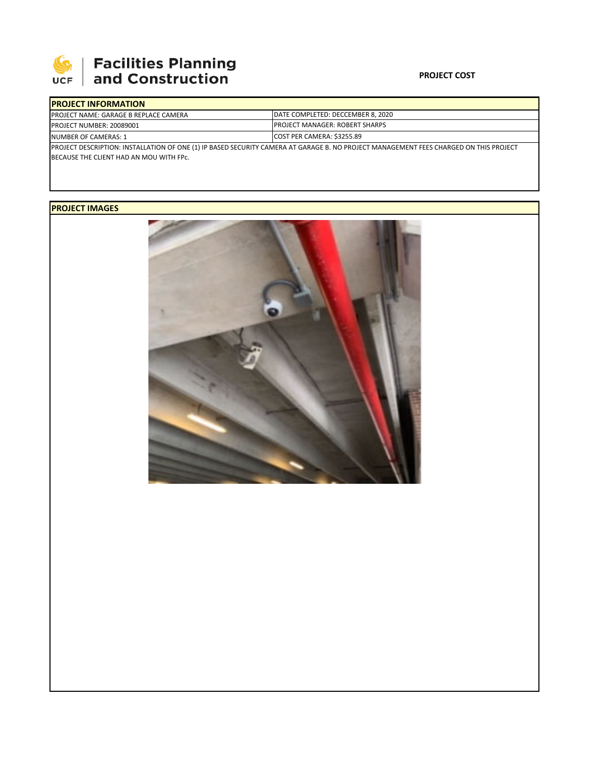

## **SEPTE AND Facilities Planning**<br>UCF and Construction

## **PROJECT COST**

| <b>IPROJECT INFORMATION</b>                                                                                                           |                                        |  |  |  |
|---------------------------------------------------------------------------------------------------------------------------------------|----------------------------------------|--|--|--|
| <b>PROJECT NAME: GARAGE B REPLACE CAMERA</b>                                                                                          | DATE COMPLETED: DECCEMBER 8, 2020      |  |  |  |
| PROJECT NUMBER: 20089001                                                                                                              | <b>IPROJECT MANAGER: ROBERT SHARPS</b> |  |  |  |
| NUMBER OF CAMERAS: 1                                                                                                                  | COST PER CAMERA: \$3255.89             |  |  |  |
| PROJECT DESCRIPTION: INSTALLATION OF ONE (1) IP BASED SECURITY CAMERA AT GARAGE B. NO PROJECT MANAGEMENT FEES CHARGED ON THIS PROJECT |                                        |  |  |  |
| BECAUSE THE CLIENT HAD AN MOU WITH FPC.                                                                                               |                                        |  |  |  |

**PROJECT IMAGES**